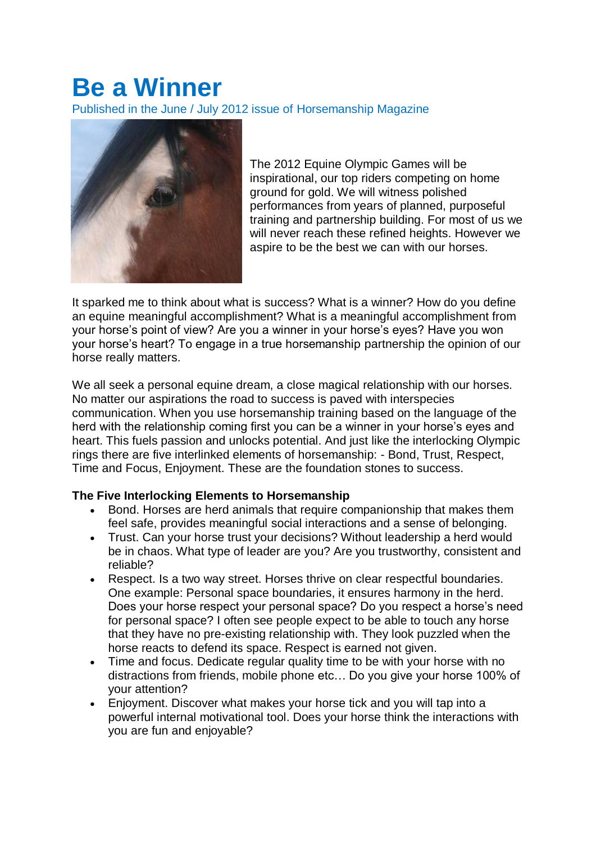## **Be a Winner**

Published in the June / July 2012 issue of Horsemanship Magazine



The 2012 Equine Olympic Games will be inspirational, our top riders competing on home ground for gold. We will witness polished performances from years of planned, purposeful training and partnership building. For most of us we will never reach these refined heights. However we aspire to be the best we can with our horses.

It sparked me to think about what is success? What is a winner? How do you define an equine meaningful accomplishment? What is a meaningful accomplishment from your horse's point of view? Are you a winner in your horse's eyes? Have you won your horse's heart? To engage in a true horsemanship partnership the opinion of our horse really matters.

We all seek a personal equine dream, a close magical relationship with our horses. No matter our aspirations the road to success is paved with interspecies communication. When you use horsemanship training based on the language of the herd with the relationship coming first you can be a winner in your horse's eyes and heart. This fuels passion and unlocks potential. And just like the interlocking Olympic rings there are five interlinked elements of horsemanship: - Bond, Trust, Respect, Time and Focus, Enjoyment. These are the foundation stones to success.

## **The Five Interlocking Elements to Horsemanship**

- Bond. Horses are herd animals that require companionship that makes them feel safe, provides meaningful social interactions and a sense of belonging.
- Trust. Can your horse trust your decisions? Without leadership a herd would be in chaos. What type of leader are you? Are you trustworthy, consistent and reliable?
- Respect. Is a two way street. Horses thrive on clear respectful boundaries. One example: Personal space boundaries, it ensures harmony in the herd. Does your horse respect your personal space? Do you respect a horse's need for personal space? I often see people expect to be able to touch any horse that they have no pre-existing relationship with. They look puzzled when the horse reacts to defend its space. Respect is earned not given.
- Time and focus. Dedicate regular quality time to be with your horse with no distractions from friends, mobile phone etc… Do you give your horse 100% of your attention?
- Enjoyment. Discover what makes your horse tick and you will tap into a powerful internal motivational tool. Does your horse think the interactions with you are fun and enjoyable?